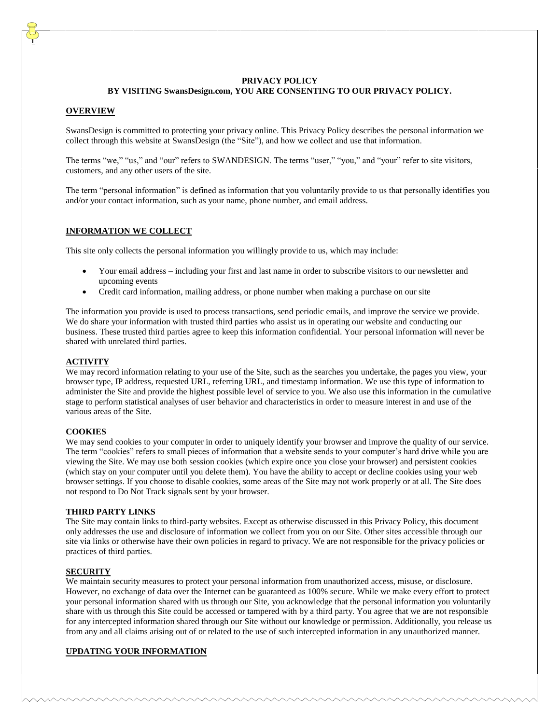## **PRIVACY POLICY BY VISITING SwansDesign.com, YOU ARE CONSENTING TO OUR PRIVACY POLICY.**

### **OVERVIEW**

SwansDesign is committed to protecting your privacy online. This Privacy Policy describes the personal information we collect through this website at SwansDesign (the "Site"), and how we collect and use that information.

The terms "we," "us," and "our" refers to SWANDESIGN. The terms "user," "you," and "your" refer to site visitors, customers, and any other users of the site.

The term "personal information" is defined as information that you voluntarily provide to us that personally identifies you and/or your contact information, such as your name, phone number, and email address.

## **INFORMATION WE COLLECT**

This site only collects the personal information you willingly provide to us, which may include:

- Your email address including your first and last name in order to subscribe visitors to our newsletter and upcoming events
- Credit card information, mailing address, or phone number when making a purchase on our site

The information you provide is used to process transactions, send periodic emails, and improve the service we provide. We do share your information with trusted third parties who assist us in operating our website and conducting our business. These trusted third parties agree to keep this information confidential. Your personal information will never be shared with unrelated third parties.

# **ACTIVITY**

We may record information relating to your use of the Site, such as the searches you undertake, the pages you view, your browser type, IP address, requested URL, referring URL, and timestamp information. We use this type of information to administer the Site and provide the highest possible level of service to you. We also use this information in the cumulative stage to perform statistical analyses of user behavior and characteristics in order to measure interest in and use of the various areas of the Site.

#### **COOKIES**

We may send cookies to your computer in order to uniquely identify your browser and improve the quality of our service. The term "cookies" refers to small pieces of information that a website sends to your computer's hard drive while you are viewing the Site. We may use both session cookies (which expire once you close your browser) and persistent cookies (which stay on your computer until you delete them). You have the ability to accept or decline cookies using your web browser settings. If you choose to disable cookies, some areas of the Site may not work properly or at all. The Site does not respond to Do Not Track signals sent by your browser.

#### **THIRD PARTY LINKS**

The Site may contain links to third-party websites. Except as otherwise discussed in this Privacy Policy, this document only addresses the use and disclosure of information we collect from you on our Site. Other sites accessible through our site via links or otherwise have their own policies in regard to privacy. We are not responsible for the privacy policies or practices of third parties.

#### **SECURITY**

We maintain security measures to protect your personal information from unauthorized access, misuse, or disclosure. However, no exchange of data over the Internet can be guaranteed as 100% secure. While we make every effort to protect your personal information shared with us through our Site, you acknowledge that the personal information you voluntarily share with us through this Site could be accessed or tampered with by a third party. You agree that we are not responsible for any intercepted information shared through our Site without our knowledge or permission. Additionally, you release us from any and all claims arising out of or related to the use of such intercepted information in any unauthorized manner.

### **UPDATING YOUR INFORMATION**